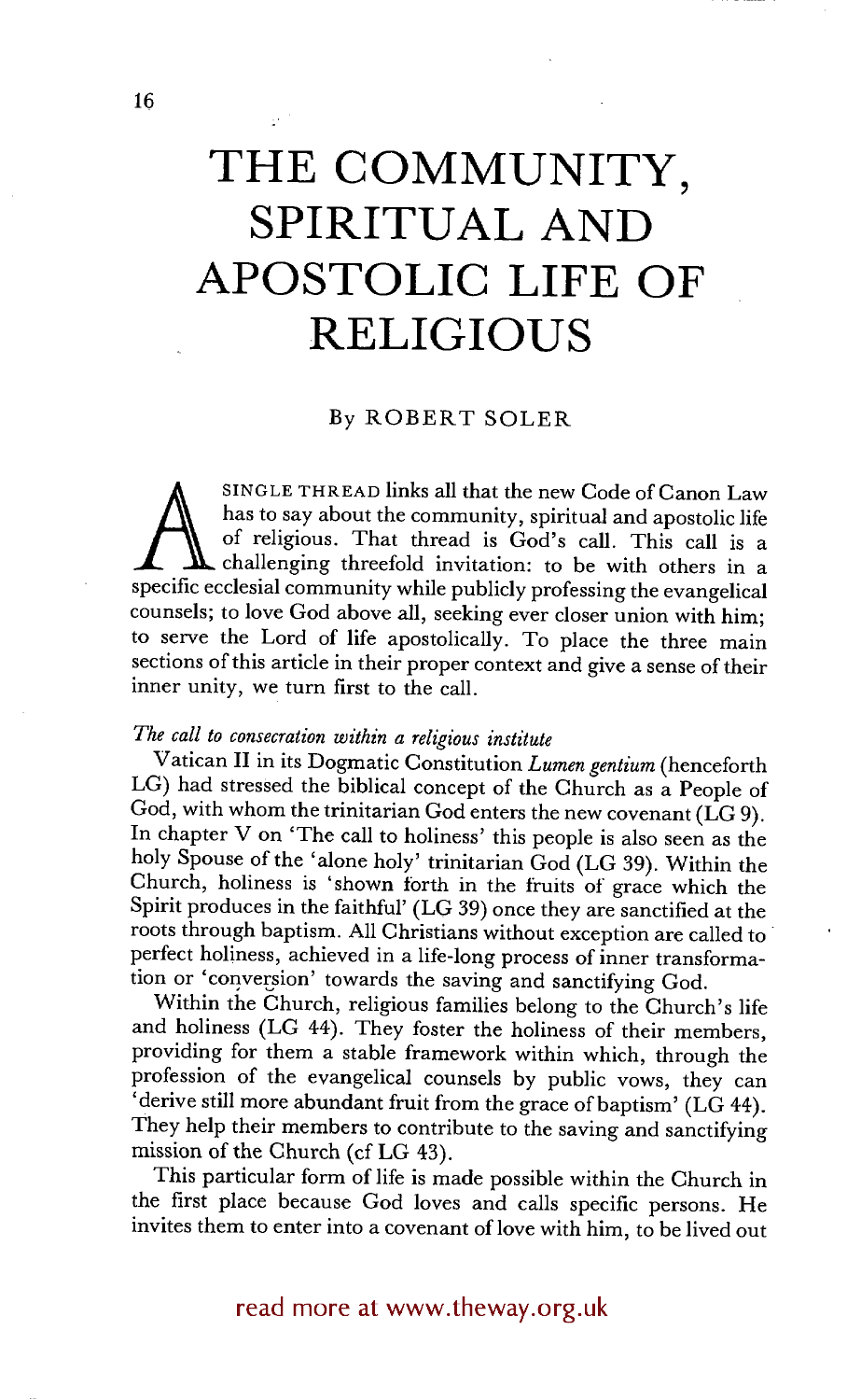# **THE COMMUNITY, SPIRITUAL AND APOSTOLIC LIFE OF RELIGIOUS**

#### By ROBERT SOLER

SINGLE THREAD links all that the new Code of Canon Law has to say about the community, spiritual and apostolic life of religious. That thread is God's call. This call is a challenging threefold invitation: to be with others in a specific ecclesial community while publicly professing the evangelical counsels; to love God above all, seeking ever closer union with him; to serve the Lord of life apostolically. To place the three main sections of this article in their proper context and give a sense of their inner unity, we turn first to the call.

## *The call to consecration within a religious institute*

Vatican II in its Dogmatic Constitution *Lumen gentium* (henceforth LG) had stressed the biblical concept of the Church as a People of God, with whom the trinitarian God enters the new covenant ( $\hat{LG}$ 9). In chapter V on 'The call to holiness' this people is also seen as the holy Spouse of the 'alone holy' trinitarian God (LG 39). Within the Church, holiness is 'shown forth in the fruits of grace which the Spirit produces in the faithful' (LG 39) once they are sanctified at the roots through baptism. All Christians without exception are called to perfect holiness, achieved in a life-long process of inner transformation or 'conversion' towards the saving and sanctifying God.

Within the Church, religious families belong to the Church's life and holiness (LG 44). They foster the holiness of their members, providing for them a stable framework within which, through the profession of the evangelical counsels by public vows, they can 'derive still more abundant fruit from the grace of baptism' (LG 44). They help their members to contribute to the saving and sanctifying mission of the Church (cf LG 43).

This particular form of life is made possible within the Church in the first place because God loves and calls specific persons. He invites them to enter into a covenant of love with him, to be lived out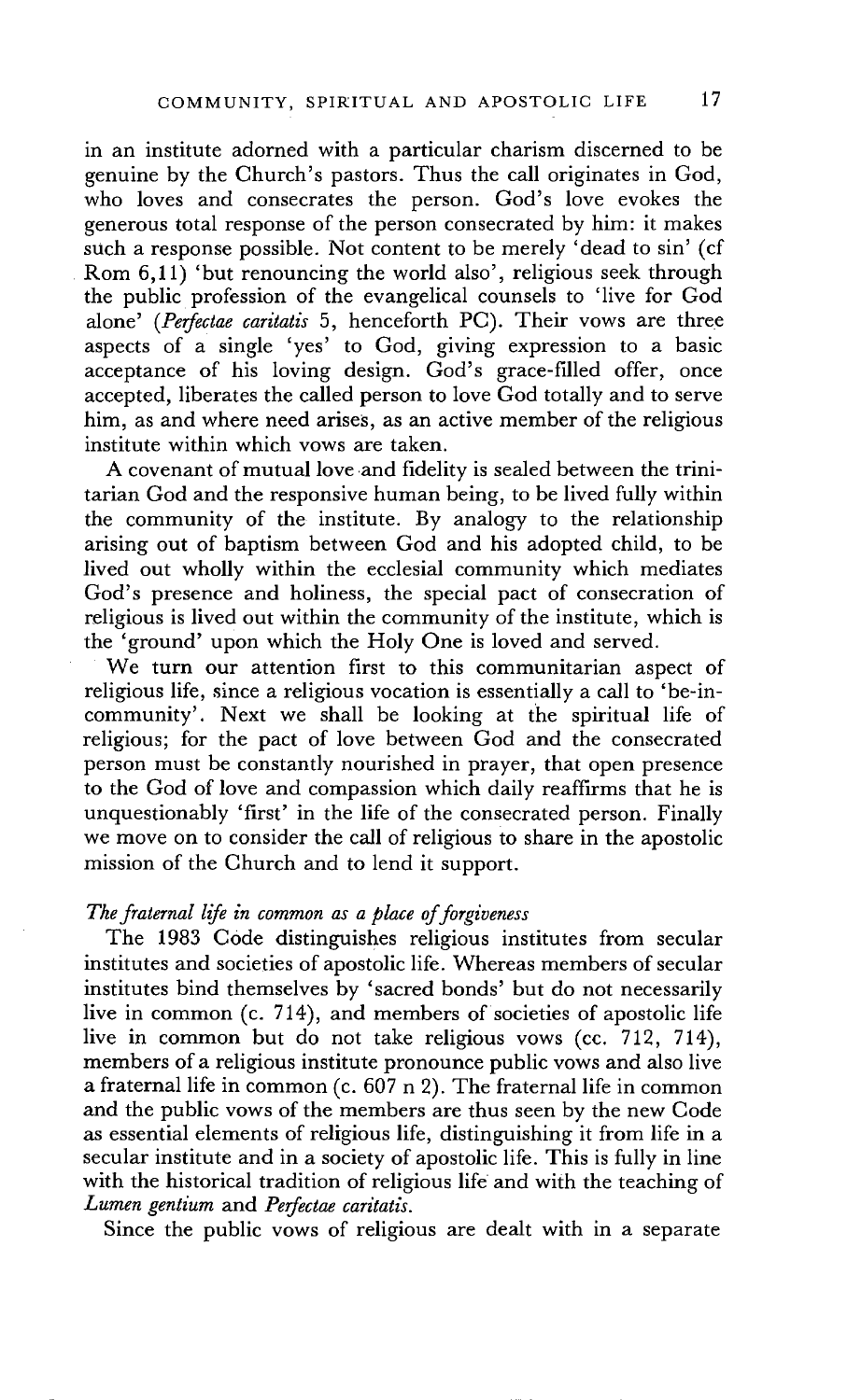in an institute adorned with a particular charism discerned to be genuine by the Church's pastors. Thus the call originates in God, who loves and consecrates the person. God's love evokes the generous total response of the person consecrated by him: it makes such a response possible. Not content to be merely 'dead to sin' (cf Rom 6,11) 'but renouncing the world also', religious seek through the public profession of the evangelical counsels to 'live for God alone' *(Perfectae caritatis* 5, henceforth PC). Their vows are three aspects of a single 'yes' to God, giving expression to a basic acceptance of his loving design. God's grace-filled offer, once accepted, liberates the called person to love God totally and to serve him, as and where need arises, as an active member of the religious institute within which vows are taken.

A covenant of mutual love and fidelity is sealed between the trinitarian God and the responsive human being, to be lived fully within the community of the institute. By analogy to the relationship arising out of baptism between God and his adopted child, to be lived out wholly within the ecclesial community which mediates God's presence and holiness, the special pact of consecration of religious is lived out within the community of the institute, which is the 'ground' upon which the Holy One is loved and served.

We turn our attention first to this communitarian aspect of religious life, since a religious vocation is essentially a call to 'be-incommunity'. Next we shall be looking at the spiritual life of religious; for the pact of love between God and the consecrated person must be constantly nourished in prayer, that open presence to the God of love and compassion which daily reaffirms that he is unquestionably 'first' in the life of the consecrated person. Finally we move on to consider the call of religious to share in the apostolic mission of the Church and to lend it support.

## *The fraternal life in common as a place of forgiveness*

The 1983 Code distinguishes religious institutes from secular institutes and societies of apostolic life. Whereas members of secular institutes bind themselves by 'sacred bonds' but do not necessarily live in common (c. 714), and members of societies of apostolic life live in common but do not take religious vows (cc. 712, 714), members of a religious institute pronounce public vows and also live a fraternal life in common (c. 607 n 2). The fraternal life in common and the public vows of the members are thus seen by the new Code as essential elements of religious life, distinguishing it from life in a secular institute and in a society of apostolic life. This is fully in line with the historical tradition of religious life and with the teaching of *Lumen gentium and Perfectae caritatis.* 

Since the public vows of religious are dealt with in a separate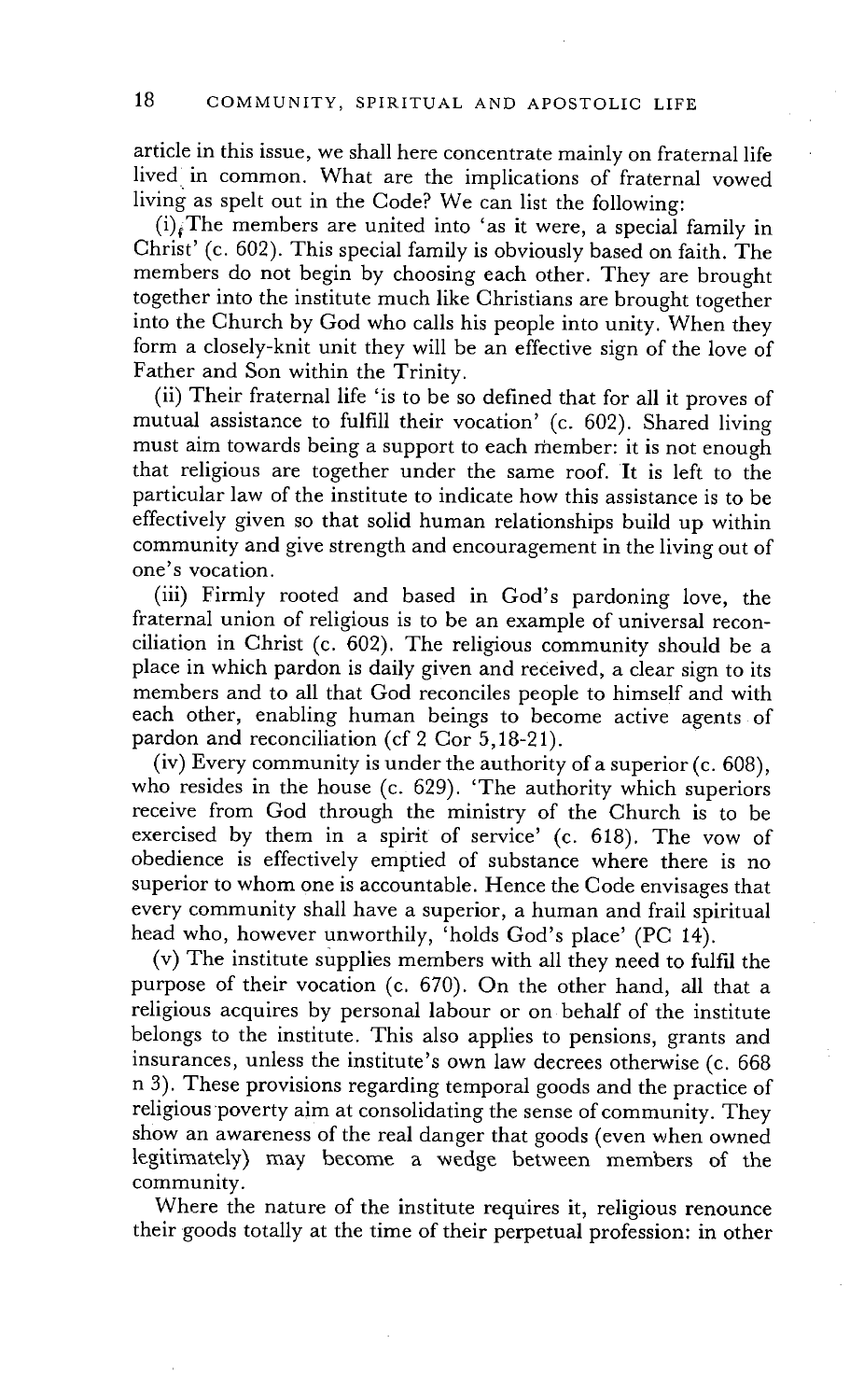article in this issue, we shall here concentrate mainly on fraternal life lived in common. What are the implications of fraternal vowed living as spelt out in the Code? We can list the following:

 $(i)$ <sub>t</sub>The members are united into 'as it were, a special family in Christ' (c. 602). This special family is obviously based on faith. The members do not begin by choosing each other. They are brought together into the institute much like Christians are brought together into the Church by God who calls his people into unity. When they form a closely-knit unit they will be an effective sign of the love of Father and Son within the Trinity.

(ii) Their fraternal life 'is to be so defined that for all it proves of mutual assistance to fulfill their vocation' (c. 602). Shared living must aim towards being a support to each member: it is not enough that religious are together under the same roof. It is left to the particular law of the institute to indicate how this assistance is to be effectively given so that solid human relationships build up within community and give strength and encouragement in the living out of one's vocation.

(iii) Firmly rooted and based in God's pardoning love, the fraternal union of religious is to be an example of universal reconciliation in Christ (c. 602). The religious community should be a place in which pardon is daily given and received, a clear sign to its members and to all that God reconciles people to himself and with each other, enabling human beings to become active agents of pardon and reconciliation (cf 2 Cor 5,18-21).

(iv) Every community is under the authority of a superior (c. 608), who resides in the house (c. 629). 'The authority which superiors receive from God through the ministry of the Church is to be exercised by them in a spirit of service' (c. 618). The vow of obedience is effectively emptied of substance where there is no superior to whom one is accountable. Hence the Code envisages that every community shall have a superior, a human and frail spiritual head who, however unworthily, 'holds God's place' (PC 14).

(v) The institute supplies members with all they need to fulfil the purpose of their vocation (c. 670). On the other hand, all that a religious acquires by personal labour or on behalf of the institute belongs to the institute. This also applies to pensions, grants and insurances, unless the institute's own law decrees otherwise (c. 668 n 3). These provisions regarding temporal goods and the practice of religious poverty aim at consolidating the sense of community. They show an awareness of the real danger that goods (even when owned legitimately) may become a wedge between members of the community.

Where the nature of the institute requires it, religious renounce their goods totally at the time of their perpetual profession: in other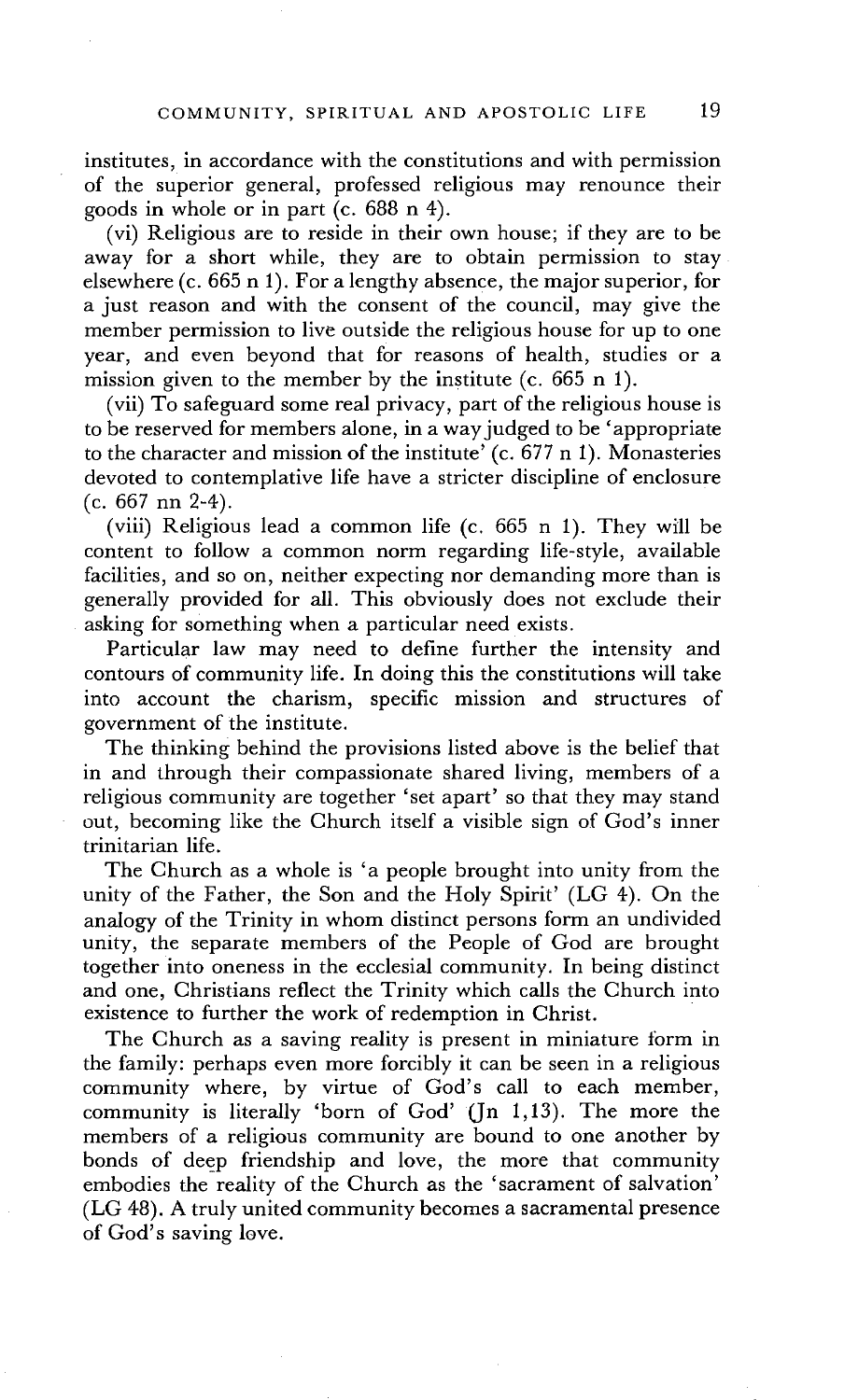institutes, in accordance with the constitutions and with permission of the superior general, professed religious may renounce their goods in whole or in part (c. 688 n 4).

(vi) Religious are to reside in their own house; if they are to be away for a short while, they are to obtain permission to stay elsewhere (c. 665 n 1). For a lengthy absence, the major superior, for a just reason and with the consent of the council, may give the member permission to live outside the religious house for up to one year, and even beyond that for reasons of health, studies or a mission given to the member by the institute (c. 665 n 1).

(vii) To safeguard some real privacy, part of the religious house is to be reserved for members alone, in a way judged to be 'appropriate to the character and mission of the institute' (c. 677 n 1). Monasteries devoted to contemplative life have a stricter discipline of enclosure (c. 667 nn 2-4).

(viii) Religious lead a common life  $(c. 665 n 1)$ . They will be content to follow a common norm regarding life-style, available facilities, and so on, neither expecting nor demanding more than is generally provided for all. This obviously does not exclude their asking for something when a particular need exists.

Particular law may need to define further the intensity and contours of community life. In doing this the constitutions will take into account the charism, specific mission and structures of government of the institute.

The thinking behind the provisions listed above is the belief that in and through their compassionate shared living, members of a religious community are together 'set apart' so that they may stand out, becoming like the Church itself a visible sign of God's inner trinitarian life.

The Church as a whole is 'a people brought into unity from the unity of the Father, the Son and the Holy Spirit' (LG 4). On the analogy of the Trinity in whom distinct persons form an undivided unity, the separate members of the People of God are brought together into oneness in the ecclesial community. In being distinct and one, Christians reflect the Trinity which calls the Church into existence to further the work of redemption in Christ.

The Church as a saving reality is present in miniature form in the family: perhaps even more forcibly it can be seen in a religious community where, by virtue of God's call to each member, community is literally 'born of God' (Jn 1,13). The more the members of a religious community are bound to one another by bonds of deep friendship and love, the more that community embodies the reality of the Church as the 'sacrament of salvation' (LG 48). A truly united community becomes a sacramental presence of God's saving love.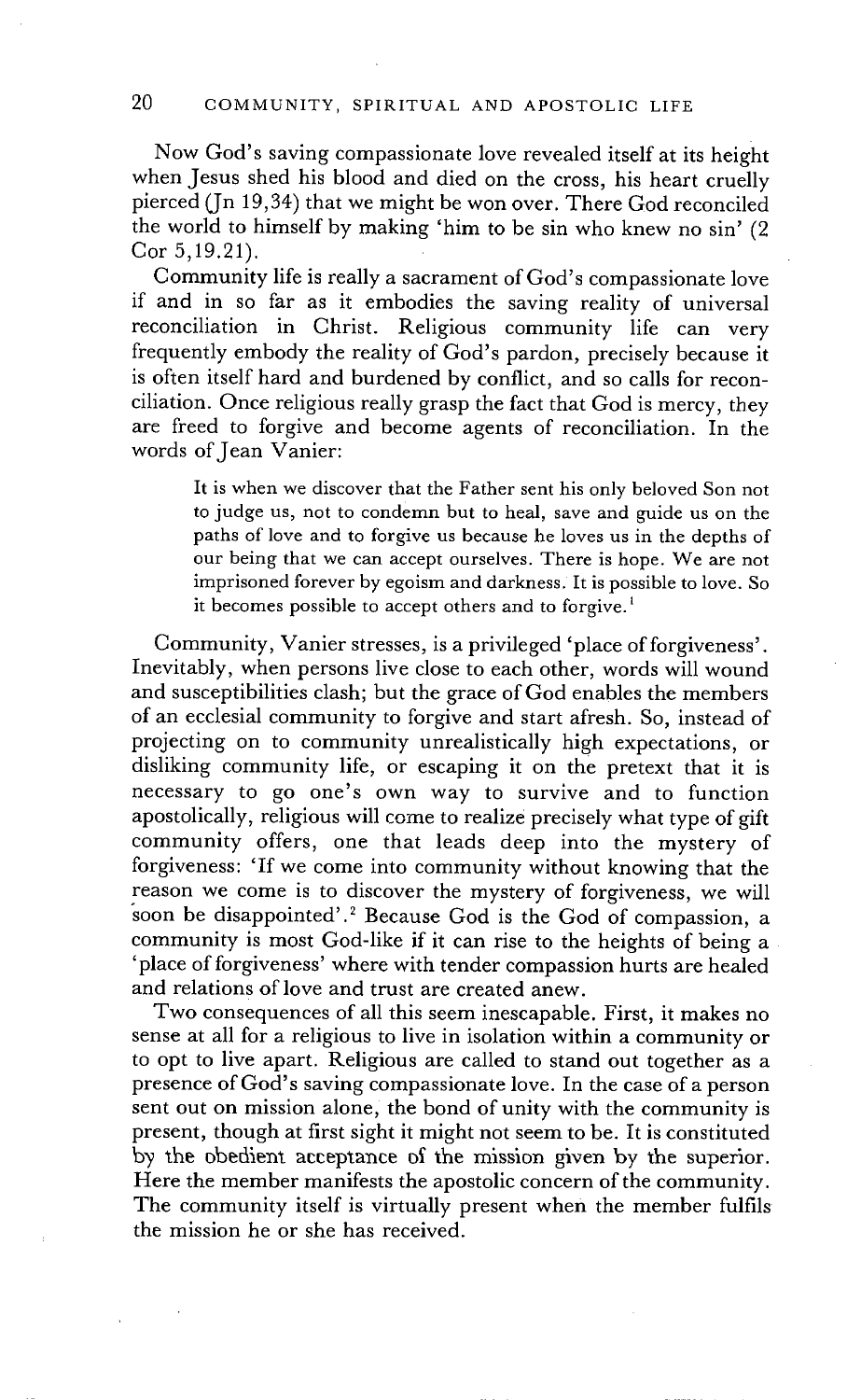Now God's saving compassionate love revealed itself at its height when Jesus shed his blood and died on the cross, his heart cruelly pierced (In 19,34) that we might be won over. There God reconciled the world to himself by making 'him to be sin who knew no sin' (2 Cor 5,19.21).

Community life is really a sacrament of God's compassionate love if and in so far as it embodies the saving reality of universal reconciliation in Christ. Religious community life can very frequently embody the reality of God's pardon, precisely because it is often itself hard and burdened by conflict, and so calls for reconciliation. Once religious really grasp the fact that God is mercy, they are freed to forgive and become agents of reconciliation. In the words of Jean Vanier:

It is when we discover that the Father sent his only beloved Son not to judge us, not to condemn but to heal, save and guide us on the paths of love and to forgive us because he loves us in the depths of our being that we can accept ourselves. There is hope. We are not imprisoned forever by egoism and darkness. It is possible to love. So it becomes possible to accept others and to forgive.<sup>1</sup>

Community, Vanier stresses, is a privileged 'place of forgiveness'. Inevitably, when persons live close to each other, words will wound and susceptibilities clash; but the grace of God enables the members of an ecclesial community to forgive and start afresh. So, instead of projecting on to community unrealistically high expectations, or disliking community life, or escaping it on the pretext that it is necessary to go one's own way to survive and to function apostolically, religious will come to realize precisely what type of gift community offers, one that leads deep into the mystery of forgiveness: 'If we come into community without knowing that the reason we come is to discover the mystery of forgiveness, we will soon be disappointed'.<sup>2</sup> Because God is the God of compassion, a community is most God-like if it can rise to the heights of being a 'place of forgiveness' where with tender compassion hurts are healed and relations of love and trust are created anew.

Two consequences of all this seem inescapable. First, it makes no sense at all for a religious to live in isolation within a community or to opt to live apart. Religious are called to stand out together as a presence of God's saving compassionate love. In the case of a person sent out on mission alone, the bond of unity with the community is present, though at first sight it might not seem to be. It is constituted by the obedient acceptance of the mission given by the superior. Here the member manifests the apostolic concern of the community. The community itself is virtually present when the member fulfils the mission he or she has received.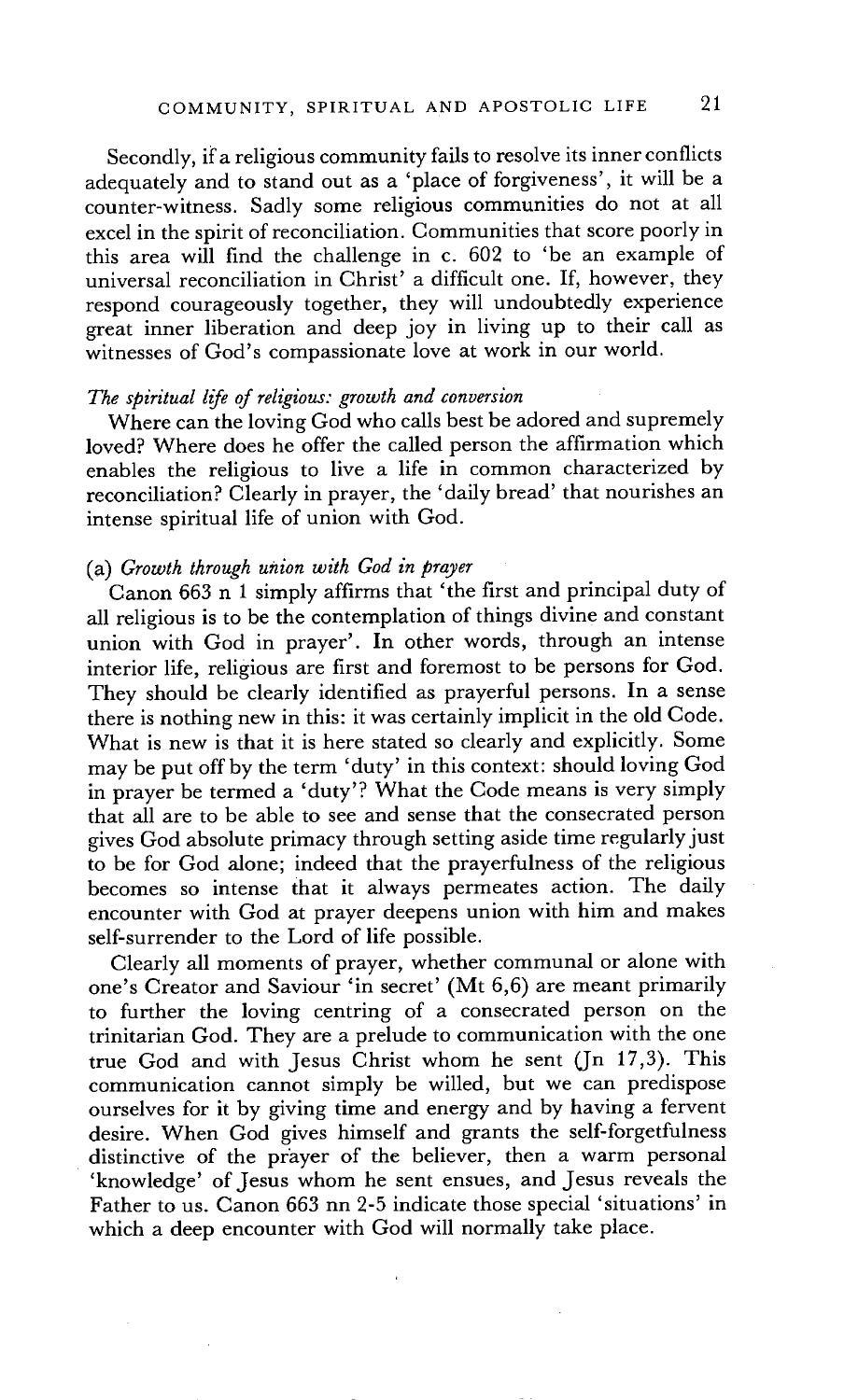Secondly, if a religious community fails to resolve its inner conflicts adequately and to stand out as a 'place of forgiveness', it will be a counter-witness. Sadly some religious communities do not at all excel in the spirit of reconciliation. Communities that score poorly in this area will find the challenge in c. 602 to 'be an example of universal reconciliation in Christ' a difficult one. If, however, they respond courageously together, they will undoubtedly experience great inner liberation and deep joy in living up to their call as witnesses of God's compassionate love at work in our world.

#### *The spiritual life of religious: growth and conversion*

Where can the loving God who calls best be adored and supremely loved? Where does he offer the called person the affirmation which enables the religious to live a life in common characterized by reconciliation? Clearly in prayer, the 'daily bread' that nourishes an intense spiritual life of union with God.

#### (a) *Growth through union with God in prayer*

Canon 663 n 1 simply affirms that 'the first and principal duty of all religious is to be the contemplation of things divine and constant union with God in prayer'. In other words, through an intense interior life, religious are first and foremost to be persons for God. They should be clearly identified as prayerful persons. In a sense there is nothing new in this: it was certainly implicit in the old Code. What is new is that it is here stated so clearly and explicitly. Some may be put off by the term 'duty' in this context: should loving God in prayer be termed a 'duty'? What the Code means is very simply that all are to be able to see and sense that the consecrated person gives God absolute primacy through setting aside time regularly just to be for God alone; indeed that the prayerfulness of the religious becomes so intense that it always permeates action. The daily encounter with God at prayer deepens union with him and makes self-surrender to the Lord of life possible.

Clearly all moments of prayer, whether communal or alone with one's Creator and Saviour 'in secret' (Mt 6,6) are meant primarily to further the loving centring of a consecrated person on the trinitarian God. They are a prelude to communication with the one true God and with Jesus Christ whom he sent (Jn 17,3). This communication cannot simply be willed, but we can predispose ourselves for it by giving time and energy and by having a fervent desire. When God gives himself and grants the self-forgetfulness distinctive of the prayer of the believer, then a warm personal 'knowledge' of Jesus whom he sent ensues, and Jesus reveals the Father to us. Canon 663 nn 2-5 indicate those special 'situations' in which a deep encounter with God will normally take place.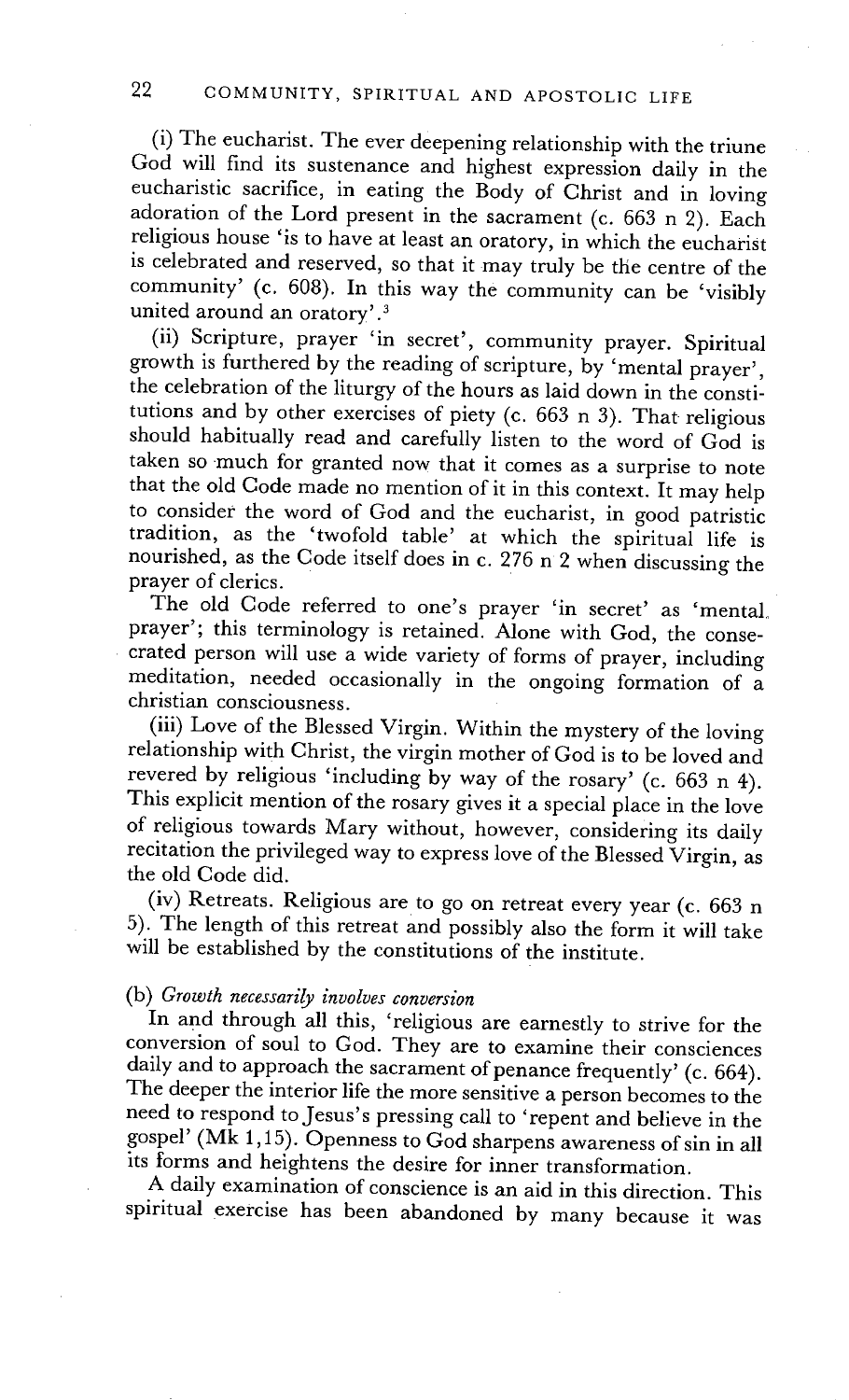(i) The eucharist. The ever deepening relationship with the triune God will find its sustenance and highest expression daily in the eucharistic sacrifice, in eating the Body of Christ and in loving adoration of the Lord present in the sacrament (c. 663 n 2). Each religious house 'is to have at least an oratory, in which the eucharist is celebrated and reserved, so that it may truly be the centre of the community' (c. 608). In this way the community can be 'visibly united around an oratory'.<sup>3</sup>

(ii) Scripture, prayer 'in secret', community prayer. Spiritual growth is furthered by the reading of scripture, by 'mental prayer', the celebration of the liturgy of the hours as laid down in the constitutions and by other exercises of piety (c. 663 n 3). That religious should habitually read and carefully listen to the word of God is taken so much for granted now that it comes as a surprise to note that the old Code made no mention of it in this context. It may help to consider the word of God and the eucharist, in good patristic tradition, as the 'twofold table' at which the spiritual life is nourished, as the Code itself does in c. 276 n 2 when discussing the prayer of clerics.

The old Code referred to one's prayer 'in secret' as 'mental. prayer'; this terminology is retained. Alone with God, the consecrated person will use a wide variety of forms of prayer, including meditation, needed occasionally in the ongoing formation of a christian consciousness.

(iii) Love of the Blessed Virgin. Within the mystery of the loving relationship with Christ, the virgin mother of God is to be loved and revered by religious 'including by way of the rosary' (c. 663 n 4). This explicit mention of the rosary gives it a special place in the love of religious towards Mary without, however, considering its daily recitation the privileged way to express love of the Blessed Virgin, as the old Code did.

(iv) Retreats. Religious are to go on retreat every year (c. 663 n 5). The length of this retreat and possibly also the form it will take will be established by the constitutions of the institute.

## (b) *Growth necessarily involves conversion*

In and through all this, 'religious are earnestly to strive for the conversion of soul to God. They are to examine their consciences daily and to approach the sacrament of penance frequently' (c. 664). The deeper the interior life the more sensitive a person becomes to the need to respond to Jesus's pressing call to 'repent and believe in the gospel' (Mk 1,15). Openness to God sharpens awareness of sin in all its forms and heightens the desire for inner transformation.

A daily examination of conscience is an aid in this direction. This spiritual exercise has been abandoned by many because it was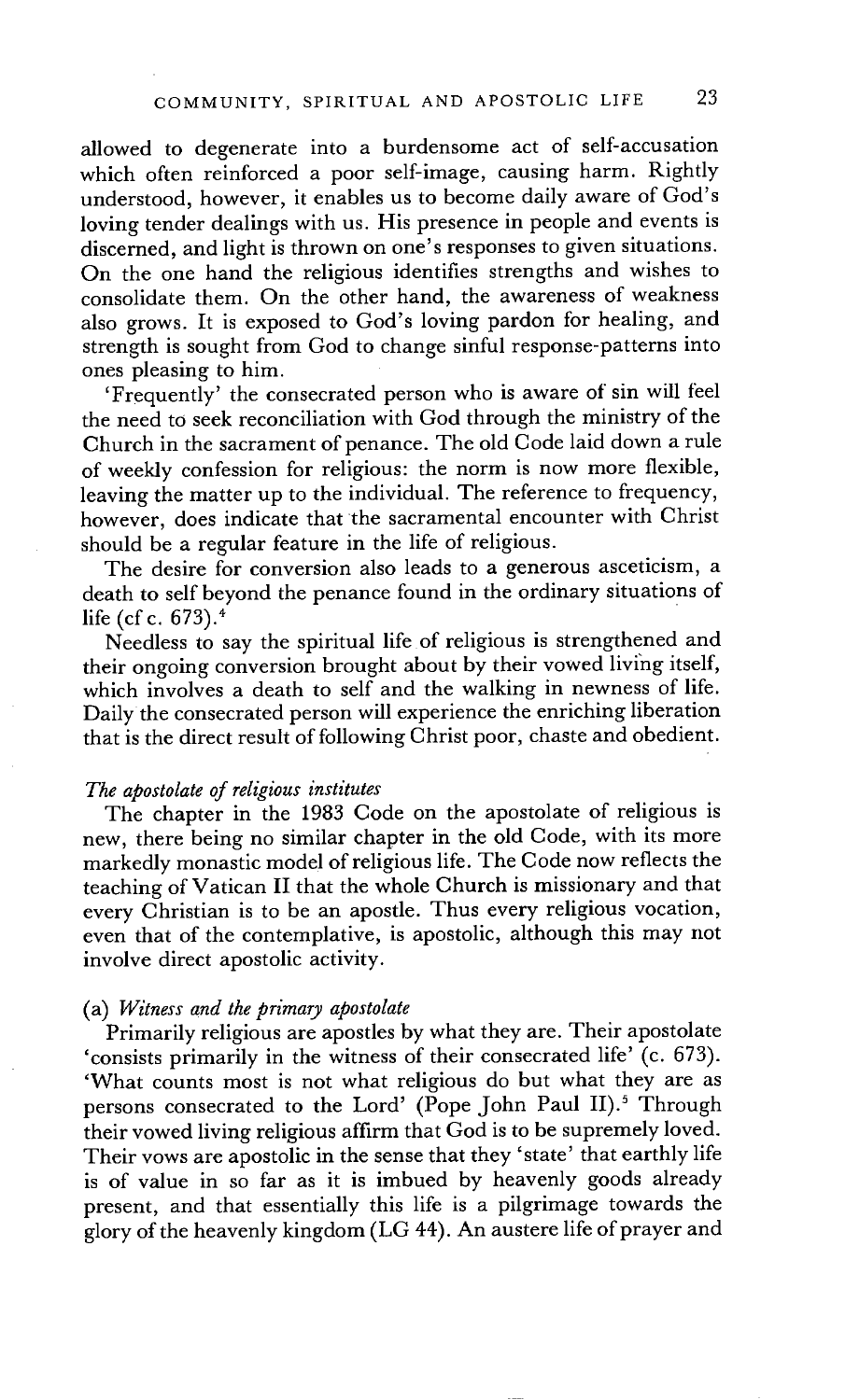allowed to degenerate into a burdensome act of self-accusation which often reinforced a poor self-image, causing harm. Rightly understood, however, it enables us to become daily aware of God's loving tender dealings with us. His presence in people and events is discerned, and light is thrown on one's responses to given situations. On the one hand the religious identifies strengths and wishes to consolidate them. On the other hand, the awareness of weakness also grows. It is exposed to God's loving pardon for healing, and strength is sought from God to change sinful response-patterns into ones pleasing to him.

'Frequently' the consecrated person who is aware of sin will feel the need to seek reconciliation with God through the ministry of the Church in the sacrament of penance. The old Code laid down a rule of weekly confession for religious: the norm is now more flexible, leaving the matter up to the individual. The reference to frequency, however, does indicate that the sacramental encounter with Christ should be a regular feature in the life of religious.

The desire for conversion also leads to a generous asceticism, a death to self beyond the penance found in the ordinary situations of life (cf c.  $673$ ).<sup>4</sup>

Needless to say the spiritual life of religious is strengthened and their ongoing conversion brought about by their vowed living itself, which involves a death to self and the walking in newness of life. Daily the consecrated person will experience the enriching liberation that is the direct result of following Christ poor, chaste and obedient.

#### *The apostolate of religious institutes*

The chapter in the 1983 Code on the apostolate of religious is new, there being no similar chapter in the old Code, with its more markedly monastic model of religious life. The Code now reflects the teaching of Vatican II that the whole Church is missionary and that every Christian is to be an apostle. Thus every religious vocation, even that of the contemplative, is apostolic, although this may not involve direct apostolic activity.

## (a) *Witness and the primary apostolate*

Primarily religious are apostles by what they are. Their apostolate 'consists primarily in the witness of their consecrated life' (c. 673). 'What counts most is not what religious do but what they are as persons consecrated to the Lord' (Pope John Paul II).<sup>5</sup> Through their vowed living religious affirm that God is to be supremely loved. Their vows are apostolic in the sense that they 'state' that earthly life is of value in so far as it is imbued by heavenly goods already present, and that essentially this life is a pilgrimage towards the glory of the heavenly kingdom (LG 44). An austere life of prayer and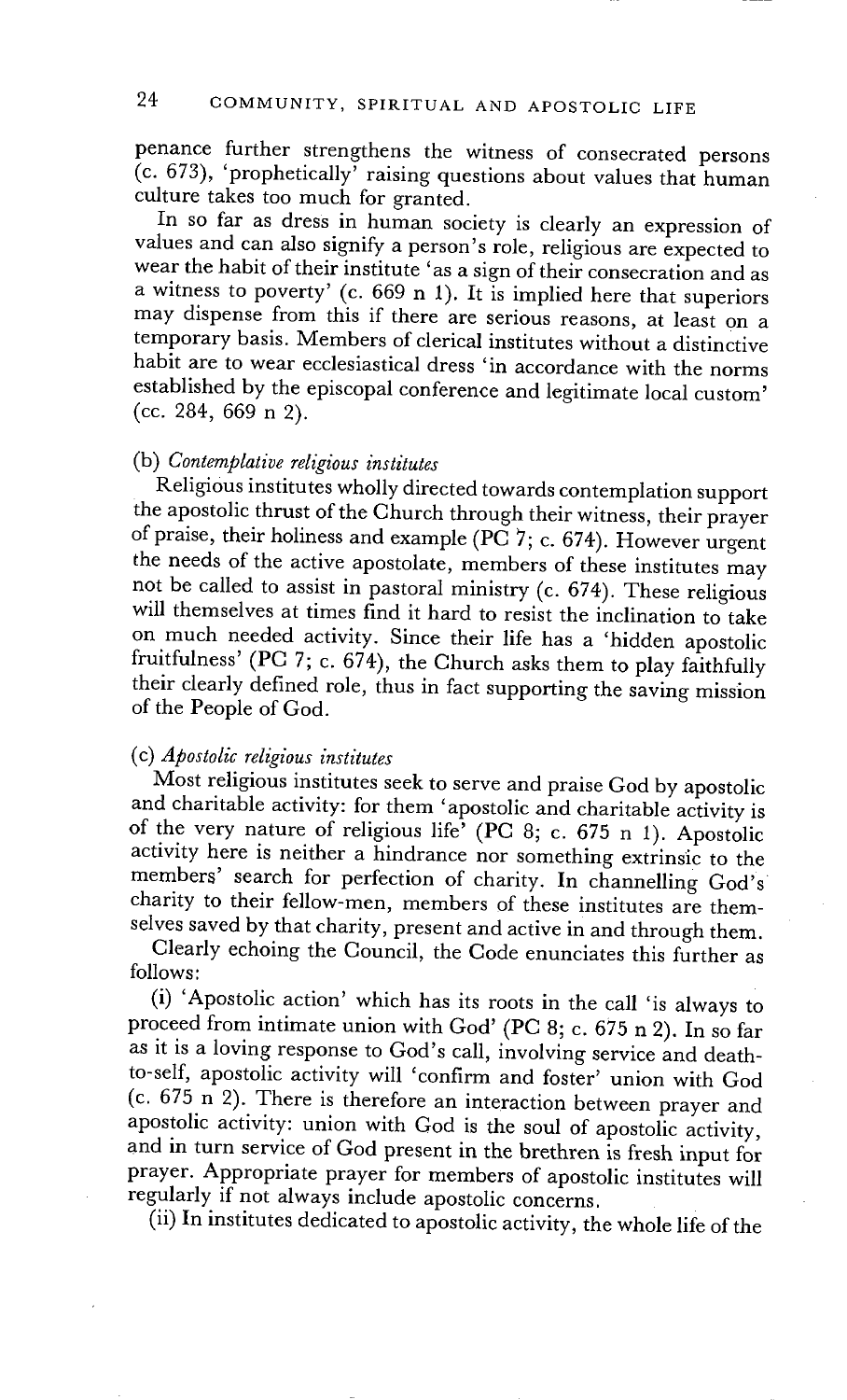penance further strengthens the witness of consecrated persons  $(c. 673)$ , 'prophetically' raising questions about values that human culture takes too much for granted.

In so far as dress in human society is clearly an expression of values and can also signify a person's role, religious are expected to wear the habit of their institute 'as a sign of their consecration and as a witness to poverty' (c.  $669$  n 1). It is implied here that superiors may dispense from this if there are serious reasons, at least on a temporary basis. Members of clerical institutes without a distinctive habit are to wear ecclesiastical dress 'in accordance with the norms established by the episcopal conference and legitimate local custom' (cc. 284, 669 n 2).

### (b) *Contemplative religious institutes*

Religious institutes wholly directed towards contemplation support the apostolic thrust of the Church through their witness, their prayer of praise, their holiness and example (PC  $7$ ; c. 674). However urgent the needs of the active apostolate, members of these institutes may not be called to assist in pastoral ministry (c. 674). These religious will themselves at times find it hard to resist the inclination to take on much needed activity. Since their life has a 'hidden apostolic fruitfulness' (PC 7; c. 674), the Church asks them to play faithfully their clearly defined role, thus in fact supporting the saving mission of the People of God.

### (c) *Apostolic religious institutes*

Most religious institutes seek to serve and praise God by apostolic and charitable activity: for them 'apostolic and charitable activity is of the very nature of religious life' (PC 8; c. 675 n 1). Apostolic activity here is neither a hindrance nor something extrinsic to the members' search for perfection of charity. In channelling God's charity to their fellow-men, members of these institutes are themselves saved by that charity, present and active in and through them.

Clearly echoing the Council, the Code enunciates this further as follows:

(i) 'Apostolic action' which has its roots in the call 'is always to proceed from intimate union with God' (PC 8; c. 675 n 2). In so far as it is a loving response to God's call, involving service and deathto-self, apostolic activity will 'confirm and foster' union with God (c. 675 n 2). There is therefore an interaction between prayer and apostolic activity: union with God is the soul of apostolic activity, and in turn service of God present in the brethren is fresh input for prayer. Appropriate prayer for members of apostolic institutes will regularly if not always include apostolic concerns.

(ii) In institutes dedicated to apostolic activity, the whole life of the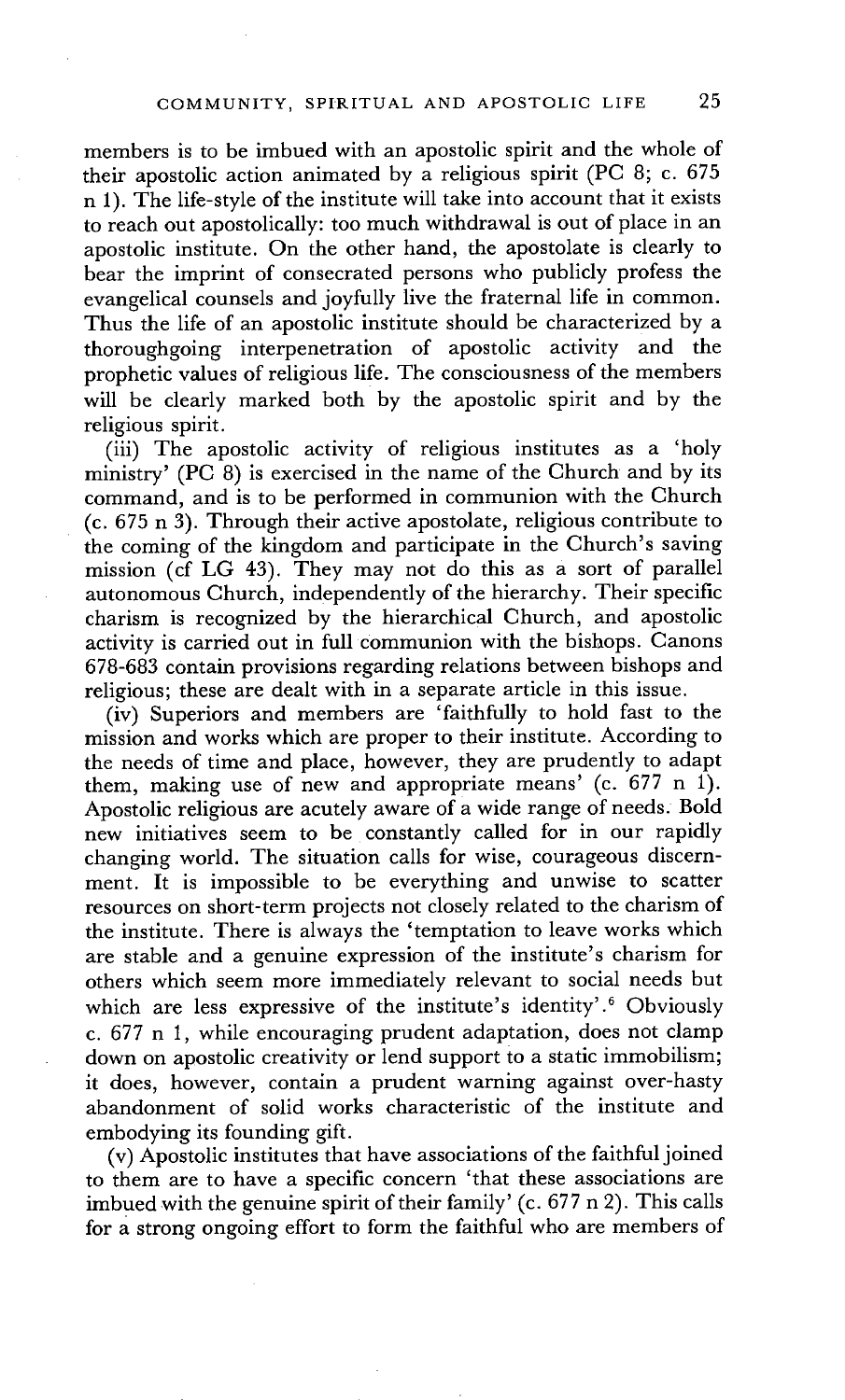members is to be imbued with an apostolic spirit and the whole of their apostolic action animated by a religious spirit (PC 8; c. 675 n 1). The life-style of the institute will take into account that it exists to reach out apostolically: too much withdrawal is out of place in an apostolic institute. On the other hand, the apostolate is clearly to bear the imprint of consecrated persons who publicly profess the evangelical counsels and joyfully live the fraternal life in common. Thus the life of an apostolic institute should be characterized by a thoroughgoing interpenetration of apostolic activity and the prophetic values of religious life. The consciousness of the members will be clearly marked both by the apostolic spirit and by the religious spirit.

(iii) The apostolic activity of religious institutes as a 'holy ministry' (PC 8) is exercised in the name of the Church and by its command, and is to be performed in communion with the Church (c. 675 n 3). Through their active apostolate, religious contribute to the coming of the kingdom and participate in the Church's saving mission (cf LG 43). They may not do this as a sort of parallel autonomous Church, independently of the hierarchy. Their specific charism is recognized by the hierarchical Church, and apostolic activity is carried out in full communion with the bishops. Canons 678-683 contain provisions regarding relations between bishops and religious; these are dealt with in a separate article in this issue.

(iv) Superiors and members are 'faithfully to hold fast to the mission and works which are proper to their institute. According to the needs of time and place, however, they are prudently to adapt them, making use of new and appropriate means' (c. 677 n 1). Apostolic religious are acutely aware of a wide range of needs. Bold new initiatives seem to be constantly called for in our rapidly changing world. The situation calls for wise, courageous discernment. It is impossible to be everything and unwise to scatter resources on short-term projects not closely related to the charism of the institute. There is always the 'temptation to leave works which are stable and a genuine expression of the institute's charism for others which seem more immediately relevant to social needs but which are less expressive of the institute's identity'.<sup>6</sup> Obviously c.  $677$  n 1, while encouraging prudent adaptation, does not clamp down on apostolic creativity or lend support to a static immobilism; it does, however, contain a prudent warning against over-hasty abandonment of solid works characteristic of the institute and embodying its founding gift.

(v) Apostolic institutes that have associations of the faithful joined to them are to have a specific concern 'that these associations are imbued with the genuine spirit of their family' (c. 677 n 2). This calls for a strong ongoing effort to form the faithful who are members of